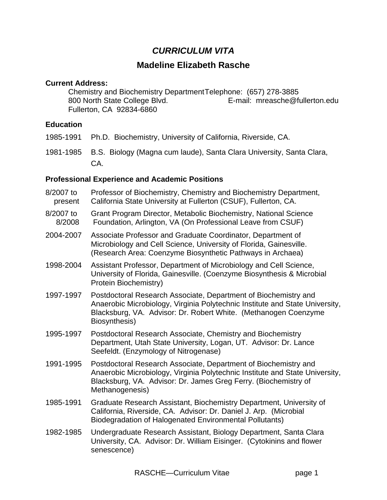# *CURRICULUM VITA*

# **Madeline Elizabeth Rasche**

#### **Current Address:**

Chemistry and Biochemistry DepartmentTelephone: (657) 278-3885<br>800 North State College Blvd. E-mail: mreasche@fu E-mail: mreasche@fullerton.edu Fullerton, CA 92834-6860

#### **Education**

- 1985-1991 Ph.D. Biochemistry, University of California, Riverside, CA.
- 1981-1985 B.S. Biology (Magna cum laude), Santa Clara University, Santa Clara, CA.

## **Professional Experience and Academic Positions**

| 8/2007 to<br>present | Professor of Biochemistry, Chemistry and Biochemistry Department,<br>California State University at Fullerton (CSUF), Fullerton, CA.                                                                                                  |
|----------------------|---------------------------------------------------------------------------------------------------------------------------------------------------------------------------------------------------------------------------------------|
| 8/2007 to<br>8/2008  | Grant Program Director, Metabolic Biochemistry, National Science<br>Foundation, Arlington, VA (On Professional Leave from CSUF)                                                                                                       |
| 2004-2007            | Associate Professor and Graduate Coordinator, Department of<br>Microbiology and Cell Science, University of Florida, Gainesville.<br>(Research Area: Coenzyme Biosynthetic Pathways in Archaea)                                       |
| 1998-2004            | Assistant Professor, Department of Microbiology and Cell Science,<br>University of Florida, Gainesville. (Coenzyme Biosynthesis & Microbial<br>Protein Biochemistry)                                                                  |
| 1997-1997            | Postdoctoral Research Associate, Department of Biochemistry and<br>Anaerobic Microbiology, Virginia Polytechnic Institute and State University,<br>Blacksburg, VA. Advisor: Dr. Robert White. (Methanogen Coenzyme<br>Biosynthesis)   |
| 1995-1997            | Postdoctoral Research Associate, Chemistry and Biochemistry<br>Department, Utah State University, Logan, UT. Advisor: Dr. Lance<br>Seefeldt. (Enzymology of Nitrogenase)                                                              |
| 1991-1995            | Postdoctoral Research Associate, Department of Biochemistry and<br>Anaerobic Microbiology, Virginia Polytechnic Institute and State University,<br>Blacksburg, VA. Advisor: Dr. James Greg Ferry. (Biochemistry of<br>Methanogenesis) |
| 1985-1991            | Graduate Research Assistant, Biochemistry Department, University of<br>California, Riverside, CA. Advisor: Dr. Daniel J. Arp. (Microbial<br>Biodegradation of Halogenated Environmental Pollutants)                                   |
| 1982-1985            | Undergraduate Research Assistant, Biology Department, Santa Clara<br>University, CA. Advisor: Dr. William Eisinger. (Cytokinins and flower<br>senescence)                                                                             |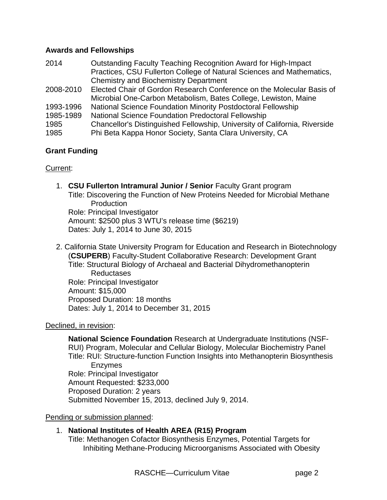### **Awards and Fellowships**

| Practices, CSU Fullerton College of Natural Sciences and Mathematics,      |
|----------------------------------------------------------------------------|
|                                                                            |
| Elected Chair of Gordon Research Conference on the Molecular Basis of      |
|                                                                            |
|                                                                            |
|                                                                            |
| Chancellor's Distinguished Fellowship, University of California, Riverside |
|                                                                            |
|                                                                            |

## **Grant Funding**

## Current:

- 1. **CSU Fullerton Intramural Junior / Senior** Faculty Grant program Title: Discovering the Function of New Proteins Needed for Microbial Methane Production Role: Principal Investigator Amount: \$2500 plus 3 WTU's release time (\$6219) Dates: July 1, 2014 to June 30, 2015
- 2. California State University Program for Education and Research in Biotechnology (**CSUPERB**) Faculty-Student Collaborative Research: Development Grant Title: Structural Biology of Archaeal and Bacterial Dihydromethanopterin Reductases Role: Principal Investigator Amount: \$15,000 Proposed Duration: 18 months Dates: July 1, 2014 to December 31, 2015

## Declined, in revision:

**National Science Foundation** Research at Undergraduate Institutions (NSF-RUI) Program, Molecular and Cellular Biology, Molecular Biochemistry Panel Title: RUI: Structure-function Function Insights into Methanopterin Biosynthesis Enzymes Role: Principal Investigator Amount Requested: \$233,000 Proposed Duration: 2 years Submitted November 15, 2013, declined July 9, 2014.

Pending or submission planned:

## 1. **National Institutes of Health AREA (R15) Program**

Title: Methanogen Cofactor Biosynthesis Enzymes, Potential Targets for Inhibiting Methane-Producing Microorganisms Associated with Obesity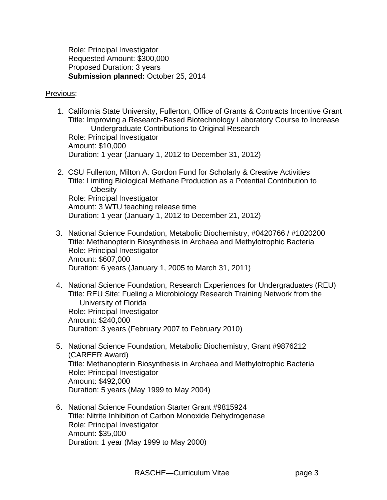Role: Principal Investigator Requested Amount: \$300,000 Proposed Duration: 3 years **Submission planned:** October 25, 2014

#### Previous:

- 1. California State University, Fullerton, Office of Grants & Contracts Incentive Grant Title: Improving a Research-Based Biotechnology Laboratory Course to Increase Undergraduate Contributions to Original Research Role: Principal Investigator Amount: \$10,000 Duration: 1 year (January 1, 2012 to December 31, 2012)
- 2. CSU Fullerton, Milton A. Gordon Fund for Scholarly & Creative Activities Title: Limiting Biological Methane Production as a Potential Contribution to **Obesity** Role: Principal Investigator Amount: 3 WTU teaching release time Duration: 1 year (January 1, 2012 to December 21, 2012)
- 3. National Science Foundation, Metabolic Biochemistry, #0420766 / #1020200 Title: Methanopterin Biosynthesis in Archaea and Methylotrophic Bacteria Role: Principal Investigator Amount: \$607,000 Duration: 6 years (January 1, 2005 to March 31, 2011)
- 4. National Science Foundation, Research Experiences for Undergraduates (REU) Title: REU Site: Fueling a Microbiology Research Training Network from the University of Florida Role: Principal Investigator Amount: \$240,000 Duration: 3 years (February 2007 to February 2010)
- 5. National Science Foundation, Metabolic Biochemistry, Grant #9876212 (CAREER Award) Title: Methanopterin Biosynthesis in Archaea and Methylotrophic Bacteria Role: Principal Investigator Amount: \$492,000 Duration: 5 years (May 1999 to May 2004)
- 6. National Science Foundation Starter Grant #9815924 Title: Nitrite Inhibition of Carbon Monoxide Dehydrogenase Role: Principal Investigator Amount: \$35,000 Duration: 1 year (May 1999 to May 2000)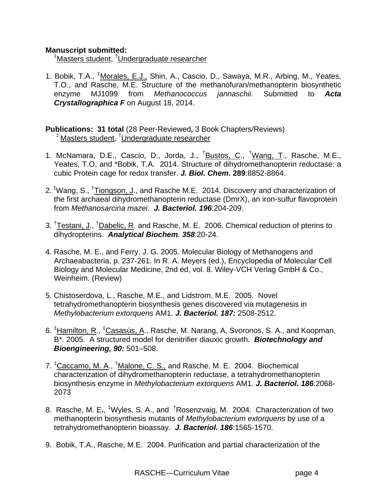### **Manuscript submitted:**

‡ Masters student, † Undergraduate researcher

1. Bobik, T.A., <sup>‡</sup>Morales, E.J., Shin, A., Cascio, D., Sawaya, M.R., Arbing, M., Yeates, T.O., and Rasche, M.E. Structure of the methanofuran/methanopterin biosynthetic enzyme MJ1099 from *Methanococcus jannaschii*. Submitted to *Acta Crystallographica F* on August 18, 2014.

**Publications: 31 total** (28 Peer-Reviewed**,** 3 Book Chapters/Reviews) ‡ Masters student, † Undergraduate researcher

- 1. McNamara, D.E., Cascio, D., Jorda, J., <sup>†</sup>Bustos, C., <sup>†</sup>Wang, T., Rasche, M.E., Yeates, T.O, and \*Bobik, T.A. 2014. Structure of dihydromethanopterin reductase: a cubic Protein cage for redox transfer. *J. Biol. Chem***. 289**:8852-8864.
- 2. <sup>‡</sup>Wang, S., <sup>†</sup>Tiongson, J., and Rasche M.E. 2014. Discovery and characterization of the first archaeal dihydromethanopterin reductase (DmrX), an iron-sulfur flavoprotein from *Methanosarcina mazei*. *J. Bacteriol. 196*:204-209.
- 3. <sup>†</sup>Testani, J., <sup>†</sup>Dabelic, R. and Rasche, M. E. 2006. Chemical reduction of pterins to dihydropterins. *Analytical Biochem. 358*:20-24.
- 4. Rasche, M. E., and Ferry, J. G. 2005. Molecular Biology of Methanogens and Archaeabacteria, p. 237-261. In R. A. Meyers (ed.), Encyclopedia of Molecular Cell Biology and Molecular Medicine, 2nd ed, vol. 8. Wiley-VCH Verlag GmbH & Co., Weinheim. (Review)
- 5. Chistoserdova, L., Rasche, M.E., and Lidstrom, M.E. 2005. Novel tetrahydromethanopterin biosynthesis genes discovered via mutagenesis in *Methylobacterium extorquens* AM1. *J. Bacteriol. 187:* 2508-2512.
- 6. <sup>‡</sup>Hamilton<u>, R., <sup>‡</sup>Casasús, A</u>., Rasche, M. Narang, A, Svoronos, S. A., and Koopman, B\*. 2005. A structured model for denitrifier diauxic growth. *Biotechnology and Bioengineering, 90:* 501–508.
- 7. <sup>‡</sup>Caccamo, M. A., <sup>†</sup>Malone, C. S., and Rasche, M. E. 2004. Biochemical characterization of dihydromethanopterin reductase, a tetrahydromethanopterin biosynthesis enzyme in *Methylobacterium extorquens* AM1. *J. Bacteriol. 186*:2068- 2073
- 8. Rasche, M. E**.**, ‡ Wyles, S. A., and † Rosenzvaig, M. 2004. Characterization of two methanopterin biosynthesis mutants of *Methylobacterium extorquens* by use of a tetrahydromethanopterin bioassay. *J. Bacteriol. 186*:1565-1570.
- 9. Bobik, T.A., Rasche, M.E. 2004. Purification and partial characterization of the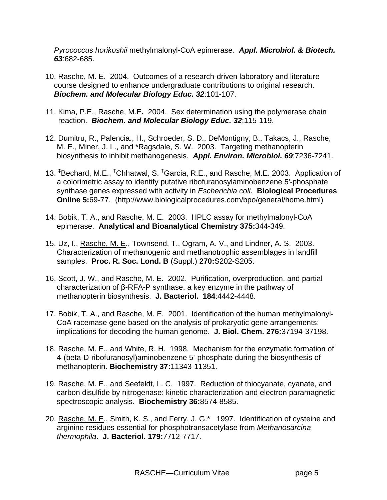*Pyrococcus horikoshii* methylmalonyl-CoA epimerase*. Appl. Microbiol. & Biotech. 63*:682-685.

- 10. Rasche, M. E. 2004. Outcomes of a research-driven laboratory and literature course designed to enhance undergraduate contributions to original research. *Biochem. and Molecular Biology Educ. 32*:101-107.
- 11. Kima, P.E., Rasche, M.E**.** 2004. Sex determination using the polymerase chain reaction. *Biochem. and Molecular Biology Educ. 32*:115-119.
- 12. Dumitru, R., Palencia., H., Schroeder, S. D., DeMontigny, B., Takacs, J., Rasche, M. E., Miner, J. L., and \*Ragsdale, S. W. 2003. Targeting methanopterin biosynthesis to inhibit methanogenesis. *Appl. Environ. Microbiol. 69*:7236-7241.
- 13. <sup>‡</sup>Bechard, M.E., <sup>†</sup>Chhatwal, S. <sup>†</sup>Garcia, R.E., and Rasche, M.E<u>.</u> 2003. Application of a colorimetric assay to identify putative ribofuranosylaminobenzene 5'-phosphate synthase genes expressed with activity in *Escherichia coli*. **Biological Procedures Online 5:**69-77. (http://www.biologicalprocedures.com/bpo/general/home.html)
- 14. Bobik, T. A., and Rasche, M. E. 2003. HPLC assay for methylmalonyl-CoA epimerase. **Analytical and Bioanalytical Chemistry 375:**344-349.
- 15. Uz, I., Rasche, M. E., Townsend, T., Ogram, A. V., and Lindner, A. S. 2003. Characterization of methanogenic and methanotrophic assemblages in landfill samples. **Proc. R. Soc. Lond. B** (Suppl.) **270:**S202-S205.
- 16. Scott, J. W., and Rasche, M. E. 2002. Purification, overproduction, and partial characterization of β-RFA-P synthase, a key enzyme in the pathway of methanopterin biosynthesis. **J. Bacteriol. 184**:4442-4448.
- 17. Bobik, T. A., and Rasche, M. E. 2001. Identification of the human methylmalonyl-CoA racemase gene based on the analysis of prokaryotic gene arrangements: implications for decoding the human genome. **J. Biol. Chem. 276:**37194-37198.
- 18. Rasche, M. E., and White, R. H. 1998. Mechanism for the enzymatic formation of 4-(beta-D-ribofuranosyl)aminobenzene 5'-phosphate during the biosynthesis of methanopterin. **Biochemistry 37:**11343-11351.
- 19. Rasche, M. E., and Seefeldt, L. C. 1997. Reduction of thiocyanate, cyanate, and carbon disulfide by nitrogenase: kinetic characterization and electron paramagnetic spectroscopic analysis. **Biochemistry 36:**8574-8585.
- 20. Rasche, M. E., Smith, K. S., and Ferry, J. G.\* 1997. Identification of cysteine and arginine residues essential for phosphotransacetylase from *Methanosarcina thermophila*. **J. Bacteriol. 179:**7712-7717.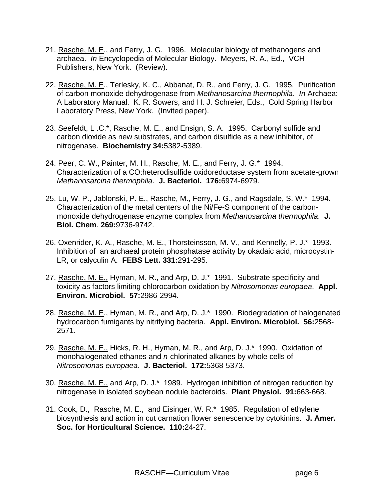- 21. Rasche, M. E., and Ferry, J. G. 1996. Molecular biology of methanogens and archaea. *In* Encyclopedia of Molecular Biology. Meyers, R. A., Ed., VCH Publishers, New York. (Review).
- 22. Rasche, M. E., Terlesky, K. C., Abbanat, D. R., and Ferry, J. G. 1995. Purification of carbon monoxide dehydrogenase from *Methanosarcina thermophila*. *In* Archaea: A Laboratory Manual. K. R. Sowers, and H. J. Schreier, Eds., Cold Spring Harbor Laboratory Press, New York. (Invited paper).
- 23. Seefeldt, L .C.\*, Rasche, M. E., and Ensign, S. A. 1995. Carbonyl sulfide and carbon dioxide as new substrates, and carbon disulfide as a new inhibitor, of nitrogenase. **Biochemistry 34:**5382-5389.
- 24. Peer, C. W., Painter, M. H., Rasche, M. E., and Ferry, J. G.\* 1994. Characterization of a CO:heterodisulfide oxidoreductase system from acetate-grown *Methanosarcina thermophila*. **J. Bacteriol. 176:**6974-6979.
- 25. Lu, W. P., Jablonski, P. E., Rasche, M., Ferry, J. G., and Ragsdale, S. W.\* 1994. Characterization of the metal centers of the Ni/Fe-S component of the carbonmonoxide dehydrogenase enzyme complex from *Methanosarcina thermophila*. **J. Biol. Chem**. **269:**9736-9742.
- 26. Oxenrider, K. A., Rasche, M. E., Thorsteinsson, M. V., and Kennelly, P. J.\* 1993. Inhibition of an archaeal protein phosphatase activity by okadaic acid, microcystin-LR, or calyculin A. **FEBS Lett. 331:**291-295.
- 27. Rasche, M. E., Hyman, M. R., and Arp, D. J.\* 1991. Substrate specificity and toxicity as factors limiting chlorocarbon oxidation by *Nitrosomonas europaea*. **Appl. Environ. Microbiol. 57:**2986-2994.
- 28. Rasche, M. E., Hyman, M. R., and Arp, D. J.\* 1990. Biodegradation of halogenated hydrocarbon fumigants by nitrifying bacteria. **Appl. Environ. Microbiol. 56:**2568- 2571.
- 29. Rasche, M. E., Hicks, R. H., Hyman, M. R., and Arp, D. J.\* 1990. Oxidation of monohalogenated ethanes and *n*-chlorinated alkanes by whole cells of *Nitrosomonas europaea*. **J. Bacteriol. 172:**5368-5373.
- 30. Rasche, M. E., and Arp, D. J.\* 1989. Hydrogen inhibition of nitrogen reduction by nitrogenase in isolated soybean nodule bacteroids. **Plant Physiol. 91:**663-668.
- 31. Cook, D., Rasche, M. E., and Eisinger, W. R.\* 1985. Regulation of ethylene biosynthesis and action in cut carnation flower senescence by cytokinins. **J. Amer. Soc. for Horticultural Science. 110:**24-27.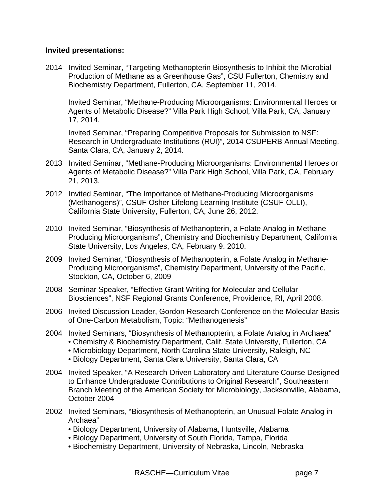#### **Invited presentations:**

2014 Invited Seminar, "Targeting Methanopterin Biosynthesis to Inhibit the Microbial Production of Methane as a Greenhouse Gas", CSU Fullerton, Chemistry and Biochemistry Department, Fullerton, CA, September 11, 2014.

Invited Seminar, "Methane-Producing Microorganisms: Environmental Heroes or Agents of Metabolic Disease?" Villa Park High School, Villa Park, CA, January 17, 2014.

Invited Seminar, "Preparing Competitive Proposals for Submission to NSF: Research in Undergraduate Institutions (RUI)", 2014 CSUPERB Annual Meeting, Santa Clara, CA, January 2, 2014.

- 2013 Invited Seminar, "Methane-Producing Microorganisms: Environmental Heroes or Agents of Metabolic Disease?" Villa Park High School, Villa Park, CA, February 21, 2013.
- 2012 Invited Seminar, "The Importance of Methane-Producing Microorganisms (Methanogens)", CSUF Osher Lifelong Learning Institute (CSUF-OLLI), California State University, Fullerton, CA, June 26, 2012.
- 2010 Invited Seminar, "Biosynthesis of Methanopterin, a Folate Analog in Methane-Producing Microorganisms", Chemistry and Biochemistry Department, California State University, Los Angeles, CA, February 9. 2010.
- 2009 Invited Seminar, "Biosynthesis of Methanopterin, a Folate Analog in Methane-Producing Microorganisms", Chemistry Department, University of the Pacific, Stockton, CA, October 6, 2009
- 2008 Seminar Speaker, "Effective Grant Writing for Molecular and Cellular Biosciences", NSF Regional Grants Conference, Providence, RI, April 2008.
- 2006 Invited Discussion Leader, Gordon Research Conference on the Molecular Basis of One-Carbon Metabolism, Topic: "Methanogenesis"
- 2004 Invited Seminars, "Biosynthesis of Methanopterin, a Folate Analog in Archaea"
	- Chemistry & Biochemistry Department, Calif. State University, Fullerton, CA
	- Microbiology Department, North Carolina State University, Raleigh, NC
	- Biology Department, Santa Clara University, Santa Clara, CA
- 2004 Invited Speaker, "A Research-Driven Laboratory and Literature Course Designed to Enhance Undergraduate Contributions to Original Research", Southeastern Branch Meeting of the American Society for Microbiology, Jacksonville, Alabama, October 2004
- 2002 Invited Seminars, "Biosynthesis of Methanopterin, an Unusual Folate Analog in Archaea"
	- Biology Department, University of Alabama, Huntsville, Alabama
	- Biology Department, University of South Florida, Tampa, Florida
	- Biochemistry Department, University of Nebraska, Lincoln, Nebraska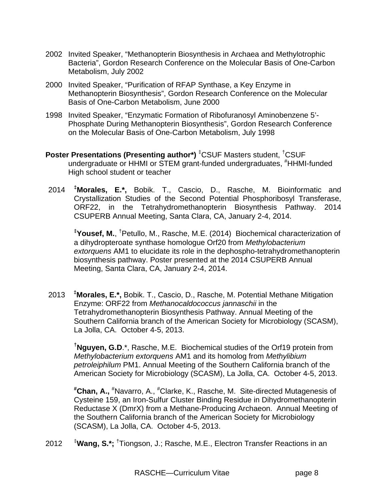- 2002 Invited Speaker, "Methanopterin Biosynthesis in Archaea and Methylotrophic Bacteria", Gordon Research Conference on the Molecular Basis of One-Carbon Metabolism, July 2002
- 2000 Invited Speaker, "Purification of RFAP Synthase, a Key Enzyme in Methanopterin Biosynthesis", Gordon Research Conference on the Molecular Basis of One-Carbon Metabolism, June 2000
- 1998 Invited Speaker, "Enzymatic Formation of Ribofuranosyl Aminobenzene 5'- Phosphate During Methanopterin Biosynthesis", Gordon Research Conference on the Molecular Basis of One-Carbon Metabolism, July 1998
- **Poster Presentations (Presenting author\*)** <sup>‡</sup>CSUF Masters student, <sup>†</sup>CSUF undergraduate or HHMI or STEM grant-funded undergraduates, #HHMI-funded High school student or teacher
- 2014 **‡ Morales, E.\*,** Bobik. T., Cascio, D., Rasche, M. Bioinformatic and Crystallization Studies of the Second Potential Phosphoribosyl Transferase, ORF22, in the Tetrahydromethanopterin Biosynthesis Pathway. 2014 CSUPERB Annual Meeting, Santa Clara, CA, January 2-4, 2014.

**‡ Yousef, M.**, † Petullo, M., Rasche, M.E. (2014) Biochemical characterization of a dihydropteroate synthase homologue Orf20 from *Methylobacterium extorquens* AM1 to elucidate its role in the dephospho-tetrahydromethanopterin biosynthesis pathway. Poster presented at the 2014 CSUPERB Annual Meeting, Santa Clara, CA, January 2-4, 2014.

2013 **‡ Morales, E.\*,** Bobik. T., Cascio, D., Rasche, M. Potential Methane Mitigation Enzyme: ORF22 from *Methanocaldococcus jannaschii* in the Tetrahydromethanopterin Biosynthesis Pathway. Annual Meeting of the Southern California branch of the American Society for Microbiology (SCASM), La Jolla, CA. October 4-5, 2013.

**† Nguyen, G.D**.\*, Rasche, M.E. Biochemical studies of the Orf19 protein from *Methylobacterium extorquens* AM1 and its homolog from *Methylibium petroleiphilum* PM1. Annual Meeting of the Southern California branch of the American Society for Microbiology (SCASM), La Jolla, CA. October 4-5, 2013.

**# Chan, A.,** # Navarro, A., # Clarke, K., Rasche, M. Site-directed Mutagenesis of Cysteine 159, an Iron-Sulfur Cluster Binding Residue in Dihydromethanopterin Reductase X (DmrX) from a Methane-Producing Archaeon. Annual Meeting of the Southern California branch of the American Society for Microbiology (SCASM), La Jolla, CA. October 4-5, 2013.

2012 ‡ Wang, S.\*; <sup>†</sup>Tiongson, J.; Rasche, M.E., Electron Transfer Reactions in an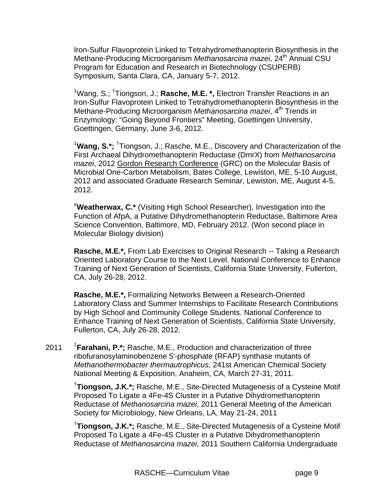Iron-Sulfur Flavoprotein Linked to Tetrahydromethanopterin Biosynthesis in the Methane-Producing Microorganism Methanosarcina mazei, 24<sup>th</sup> Annual CSU Program for Education and Research in Biotechnology (CSUPERB) Symposium, Santa Clara, CA, January 5-7, 2012.

‡ Wang, S.; † Tiongson, J.; **Rasche, M.E. \*,** Electron Transfer Reactions in an Iron-Sulfur Flavoprotein Linked to Tetrahydromethanopterin Biosynthesis in the Methane-Producing Microorganism Methanosarcina mazei, 4<sup>th</sup> Trends in Enzymology: "Going Beyond Frontiers" Meeting, Goettingen University, Goettingen, Germany, June 3-6, 2012.

‡ **Wang, S.\*;** † Tiongson, J.; Rasche, M.E., Discovery and Characterization of the First Archaeal Dihydromethanopterin Reductase (DmrX) from *Methanosarcina mazei*, 2012 Gordon Research Conference (GRC) on the Molecular Basis of Microbial One-Carbon Metabolism, Bates College, Lewiston, ME, 5-10 August, 2012 and associated Graduate Research Seminar, Lewiston, ME, August 4-5, 2012.

# **Weatherwax, C.\*** (Visiting High School Researcher), Investigation into the Function of AfpA, a Putative Dihydromethanopterin Reductase, Baltimore Area Science Convention, Baltimore, MD, February 2012. (Won second place in Molecular Biology division)

**Rasche, M.E.\*,** From Lab Exercises to Original Research -- Taking a Research Oriented Laboratory Course to the Next Level. National Conference to Enhance Training of Next Generation of Scientists, California State University, Fullerton, CA, July 26-28, 2012.

**Rasche, M.E.\*,** Formalizing Networks Between a Research-Oriented Laboratory Class and Summer Internships to Facilitate Research Contributions by High School and Community College Students. National Conference to Enhance Training of Next Generation of Scientists, California State University, Fullerton, CA, July 26-28, 2012.

 $2011$ **Farahani, P.\*;** Rasche, M.E., Production and characterization of three ribofuranosylaminobenzene 5'-phosphate (RFAP) synthase mutants of *Methanothermobacter thermautrophicus*, 241st American Chemical Society National Meeting & Exposition, Anaheim, CA, March 27-31, 2011.

> † **Tiongson, J.K.\*;** Rasche, M.E., Site-Directed Mutagenesis of a Cysteine Motif Proposed To Ligate a 4Fe-4S Cluster in a Putative Dihydromethanopterin Reductase of *Methanosarcina mazei*, 2011 General Meeting of the American Society for Microbiology, New Orleans, LA, May 21-24, 2011

> † **Tiongson, J.K.\*;** Rasche, M.E., Site-Directed Mutagenesis of a Cysteine Motif Proposed To Ligate a 4Fe-4S Cluster in a Putative Dihydromethanopterin Reductase of *Methanosarcina mazei*, 2011 Southern California Undergraduate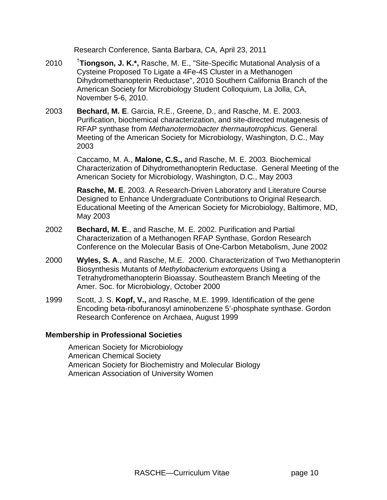Research Conference, Santa Barbara, CA, April 23, 2011

- 2010 † **Tiongson, J. K.\*,** Rasche, M. E., "Site-Specific Mutational Analysis of a Cysteine Proposed To Ligate a 4Fe-4S Cluster in a Methanogen Dihydromethanopterin Reductase", 2010 Southern California Branch of the American Society for Microbiology Student Colloquium, La Jolla, CA, November 5-6, 2010.
- 2003 **Bechard, M. E**. Garcia, R.E., Greene, D., and Rasche, M. E. 2003. Purification, biochemical characterization, and site-directed mutagenesis of RFAP synthase from *Methanotermobacter thermautotrophicus*. General Meeting of the American Society for Microbiology, Washington, D.C., May 2003

Caccamo, M. A., **Malone, C.S.,** and Rasche, M. E. 2003. Biochemical Characterization of Dihydromethanopterin Reductase. General Meeting of the American Society for Microbiology, Washington, D.C., May 2003

**Rasche, M. E**. 2003. A Research-Driven Laboratory and Literature Course Designed to Enhance Undergraduate Contributions to Original Research. Educational Meeting of the American Society for Microbiology, Baltimore, MD, May 2003

- 2002 **Bechard, M. E**., and Rasche, M. E. 2002. Purification and Partial Characterization of a Methanogen RFAP Synthase, Gordon Research Conference on the Molecular Basis of One-Carbon Metabolism, June 2002
- 2000 **Wyles, S. A**., and Rasche, M.E. 2000. Characterization of Two Methanopterin Biosynthesis Mutants of *Methylobacterium extorquens* Using a Tetrahydromethanopterin Bioassay. Southeastern Branch Meeting of the Amer. Soc. for Microbiology, October 2000
- 1999 Scott, J. S. **Kopf, V.,** and Rasche, M.E. 1999. Identification of the gene Encoding beta-ribofuranosyl aminobenzene 5'-phosphate synthase. Gordon Research Conference on Archaea, August 1999

#### **Membership in Professional Societies**

American Society for Microbiology American Chemical Society American Society for Biochemistry and Molecular Biology American Association of University Women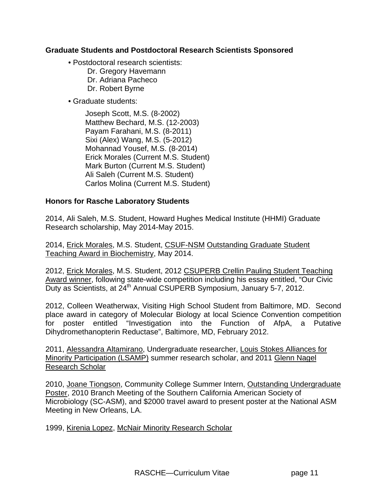#### **Graduate Students and Postdoctoral Research Scientists Sponsored**

- Postdoctoral research scientists:
	- Dr. Gregory Havemann Dr. Adriana Pacheco Dr. Robert Byrne
- Graduate students:
	- Joseph Scott, M.S. (8-2002) Matthew Bechard, M.S. (12-2003) Payam Farahani, M.S. (8-2011) Sixi (Alex) Wang, M.S. (5-2012) Mohannad Yousef, M.S. (8-2014) Erick Morales (Current M.S. Student) Mark Burton (Current M.S. Student) Ali Saleh (Current M.S. Student) Carlos Molina (Current M.S. Student)

### **Honors for Rasche Laboratory Students**

2014, Ali Saleh, M.S. Student, Howard Hughes Medical Institute (HHMI) Graduate Research scholarship, May 2014-May 2015.

2014, Erick Morales, M.S. Student, CSUF-NSM Outstanding Graduate Student Teaching Award in Biochemistry, May 2014.

2012, Erick Morales, M.S. Student, 2012 CSUPERB Crellin Pauling Student Teaching Award winner, following state-wide competition including his essay entitled, "Our Civic Duty as Scientists, at 24<sup>th</sup> Annual CSUPERB Symposium, January 5-7, 2012.

2012, Colleen Weatherwax, Visiting High School Student from Baltimore, MD. Second place award in category of Molecular Biology at local Science Convention competition for poster entitled "Investigation into the Function of AfpA, a Putative Dihydromethanopterin Reductase", Baltimore, MD, February 2012.

2011, Alessandra Altamirano, Undergraduate researcher, Louis Stokes Alliances for Minority Participation (LSAMP) summer research scholar, and 2011 Glenn Nagel Research Scholar

2010, Joane Tiongson, Community College Summer Intern, Outstanding Undergraduate Poster, 2010 Branch Meeting of the Southern California American Society of Microbiology (SC-ASM), and \$2000 travel award to present poster at the National ASM Meeting in New Orleans, LA.

1999, Kirenia Lopez, McNair Minority Research Scholar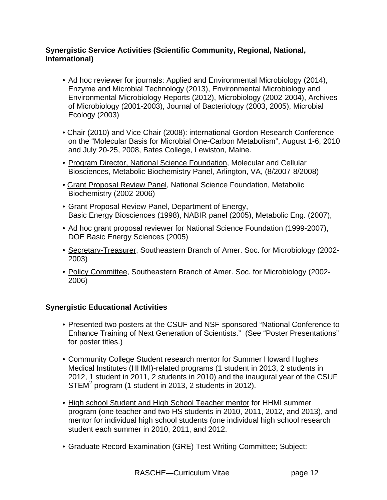## **Synergistic Service Activities (Scientific Community, Regional, National, International)**

- Ad hoc reviewer for journals: Applied and Environmental Microbiology (2014), Enzyme and Microbial Technology (2013), Environmental Microbiology and Environmental Microbiology Reports (2012), Microbiology (2002-2004), Archives of Microbiology (2001-2003), Journal of Bacteriology (2003, 2005), Microbial Ecology (2003)
- Chair (2010) and Vice Chair (2008): international Gordon Research Conference on the "Molecular Basis for Microbial One-Carbon Metabolism", August 1-6, 2010 and July 20-25, 2008, Bates College, Lewiston, Maine.
- Program Director, National Science Foundation, Molecular and Cellular Biosciences, Metabolic Biochemistry Panel, Arlington, VA, (8/2007-8/2008)
- Grant Proposal Review Panel, National Science Foundation, Metabolic Biochemistry (2002-2006)
- Grant Proposal Review Panel, Department of Energy, Basic Energy Biosciences (1998), NABIR panel (2005), Metabolic Eng. (2007),
- Ad hoc grant proposal reviewer for National Science Foundation (1999-2007), DOE Basic Energy Sciences (2005)
- Secretary-Treasurer, Southeastern Branch of Amer. Soc. for Microbiology (2002- 2003)
- Policy Committee, Southeastern Branch of Amer. Soc. for Microbiology (2002- 2006)

# **Synergistic Educational Activities**

- Presented two posters at the CSUF and NSF-sponsored "National Conference to Enhance Training of Next Generation of Scientists." (See "Poster Presentations" for poster titles.)
- Community College Student research mentor for Summer Howard Hughes Medical Institutes (HHMI)-related programs (1 student in 2013, 2 students in 2012, 1 student in 2011, 2 students in 2010) and the inaugural year of the CSUF  $STEM<sup>2</sup> program (1 student in 2013, 2 students in 2012).$
- High school Student and High School Teacher mentor for HHMI summer program (one teacher and two HS students in 2010, 2011, 2012, and 2013), and mentor for individual high school students (one individual high school research student each summer in 2010, 2011, and 2012.
- Graduate Record Examination (GRE) Test-Writing Committee; Subject: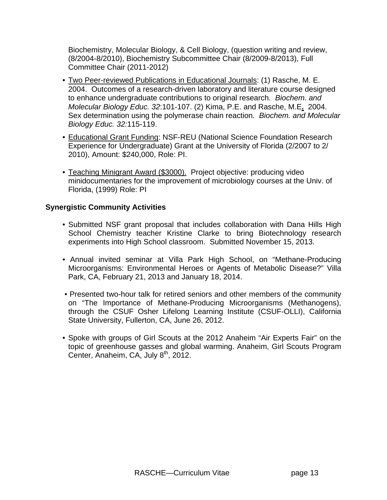Biochemistry, Molecular Biology, & Cell Biology, (question writing and review, (8/2004-8/2010), Biochemistry Subcommittee Chair (8/2009-8/2013), Full Committee Chair (2011-2012)

- Two Peer-reviewed Publications in Educational Journals: (1) Rasche, M. E. 2004. Outcomes of a research-driven laboratory and literature course designed to enhance undergraduate contributions to original research. *Biochem. and Molecular Biology Educ. 32*:101-107. (2) Kima, P.E. and Rasche, M.E**.** 2004. Sex determination using the polymerase chain reaction*. Biochem. and Molecular Biology Educ. 32:*115-119.
- Educational Grant Funding: NSF-REU (National Science Foundation Research Experience for Undergraduate) Grant at the University of Florida (2/2007 to 2/ 2010), Amount: \$240,000, Role: PI.
- Teaching Minigrant Award (\$3000). Project objective: producing video minidocumentaries for the improvement of microbiology courses at the Univ. of Florida, (1999) Role: PI

## **Synergistic Community Activities**

- Submitted NSF grant proposal that includes collaboration with Dana Hills High School Chemistry teacher Kristine Clarke to bring Biotechnology research experiments into High School classroom. Submitted November 15, 2013.
- Annual invited seminar at Villa Park High School, on "Methane-Producing Microorganisms: Environmental Heroes or Agents of Metabolic Disease?" Villa Park, CA, February 21, 2013 and January 18, 2014.
- Presented two-hour talk for retired seniors and other members of the community on "The Importance of Methane-Producing Microorganisms (Methanogens), through the CSUF Osher Lifelong Learning Institute (CSUF-OLLI), California State University, Fullerton, CA, June 26, 2012.
- Spoke with groups of Girl Scouts at the 2012 Anaheim "Air Experts Fair" on the topic of greenhouse gasses and global warming. Anaheim, Girl Scouts Program Center, Anaheim, CA, July 8<sup>th</sup>, 2012.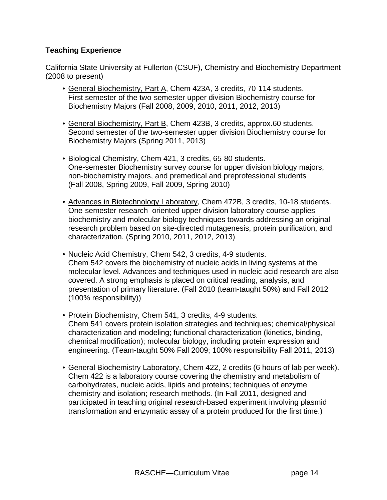## **Teaching Experience**

California State University at Fullerton (CSUF), Chemistry and Biochemistry Department (2008 to present)

- General Biochemistry, Part A, Chem 423A, 3 credits, 70-114 students. First semester of the two-semester upper division Biochemistry course for Biochemistry Majors (Fall 2008, 2009, 2010, 2011, 2012, 2013)
- General Biochemistry, Part B, Chem 423B, 3 credits, approx.60 students. Second semester of the two-semester upper division Biochemistry course for Biochemistry Majors (Spring 2011, 2013)
- Biological Chemistry, Chem 421, 3 credits, 65-80 students. One-semester Biochemistry survey course for upper division biology majors, non-biochemistry majors, and premedical and preprofessional students (Fall 2008, Spring 2009, Fall 2009, Spring 2010)
- Advances in Biotechnology Laboratory, Chem 472B, 3 credits, 10-18 students. One-semester research–oriented upper division laboratory course applies biochemistry and molecular biology techniques towards addressing an original research problem based on site-directed mutagenesis, protein purification, and characterization. (Spring 2010, 2011, 2012, 2013)
- Nucleic Acid Chemistry, Chem 542, 3 credits, 4-9 students. Chem 542 covers the biochemistry of nucleic acids in living systems at the molecular level. Advances and techniques used in nucleic acid research are also covered. A strong emphasis is placed on critical reading, analysis, and presentation of primary literature. (Fall 2010 (team-taught 50%) and Fall 2012 (100% responsibility))
- Protein Biochemistry, Chem 541, 3 credits, 4-9 students. Chem 541 covers protein isolation strategies and techniques; chemical/physical characterization and modeling; functional characterization (kinetics, binding, chemical modification); molecular biology, including protein expression and engineering. (Team-taught 50% Fall 2009; 100% responsibility Fall 2011, 2013)
- General Biochemistry Laboratory, Chem 422, 2 credits (6 hours of lab per week). Chem 422 is a laboratory course covering the chemistry and metabolism of carbohydrates, nucleic acids, lipids and proteins; techniques of enzyme chemistry and isolation; research methods. (In Fall 2011, designed and participated in teaching original research-based experiment involving plasmid transformation and enzymatic assay of a protein produced for the first time.)